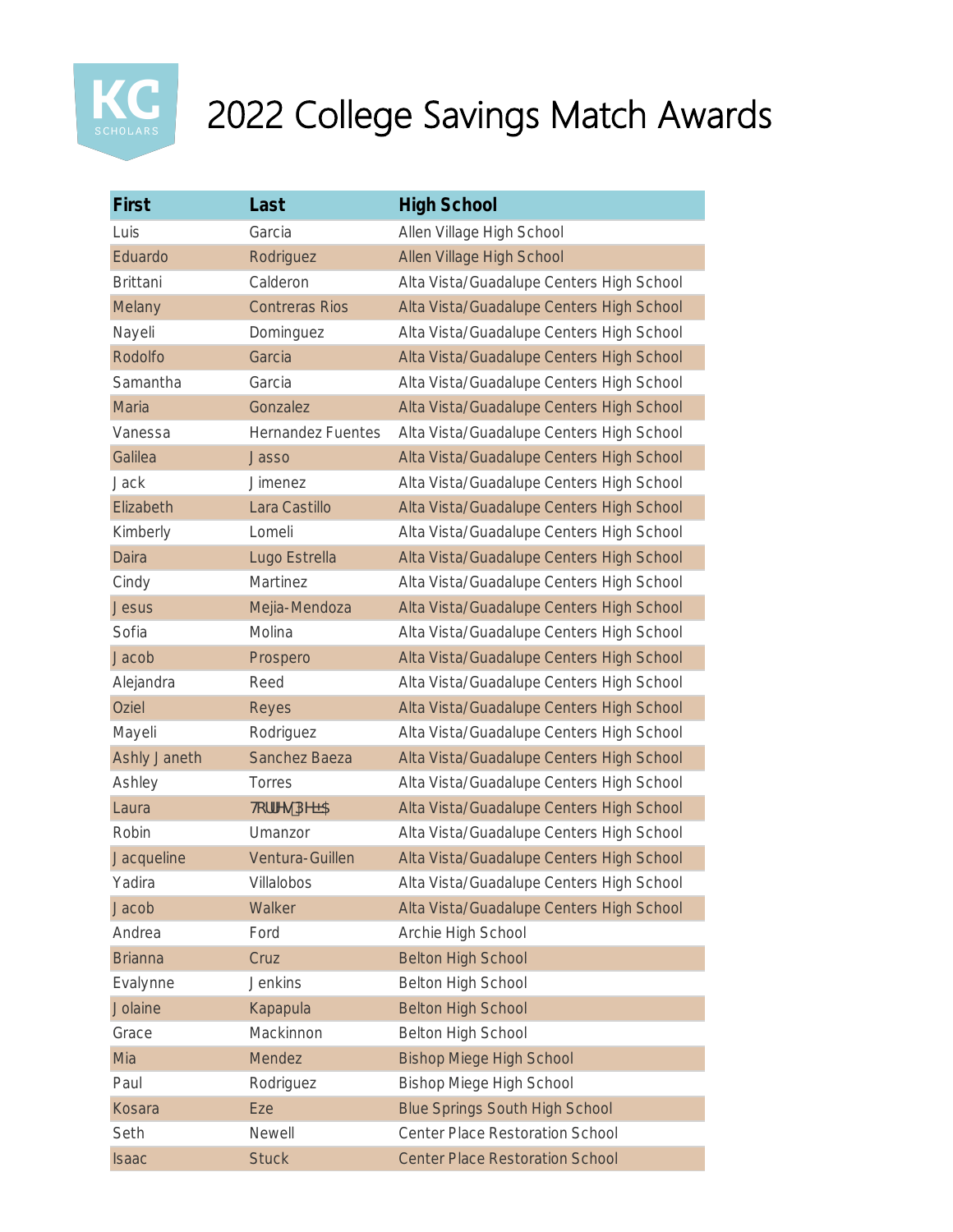

| First               | Last                     | <b>High School</b>                       |
|---------------------|--------------------------|------------------------------------------|
| Luis                | Garcia                   | Allen Village High School                |
| Eduardo             | Rodriguez                | Allen Village High School                |
| <b>Brittani</b>     | Calderon                 | Alta Vista/Guadalupe Centers High School |
| Melany              | <b>Contreras Rios</b>    | Alta Vista/Guadalupe Centers High School |
| Nayeli              | Dominguez                | Alta Vista/Guadalupe Centers High School |
| Rodolfo             | Garcia                   | Alta Vista/Guadalupe Centers High School |
| Samantha            | Garcia                   | Alta Vista/Guadalupe Centers High School |
| Maria               | Gonzalez                 | Alta Vista/Guadalupe Centers High School |
| Vanessa             | <b>Hernandez Fuentes</b> | Alta Vista/Guadalupe Centers High School |
| Galilea             | <b>Jasso</b>             | Alta Vista/Guadalupe Centers High School |
| <b>Jack</b>         | <b>Jimenez</b>           | Alta Vista/Guadalupe Centers High School |
| Elizabeth           | Lara Castillo            | Alta Vista/Guadalupe Centers High School |
| Kimberly            | Lomeli                   | Alta Vista/Guadalupe Centers High School |
| Daira               | Lugo Estrella            | Alta Vista/Guadalupe Centers High School |
| Cindy               | Martinez                 | Alta Vista/Guadalupe Centers High School |
| <b>Jesus</b>        | Mejia-Mendoza            | Alta Vista/Guadalupe Centers High School |
| Sofia               | Molina                   | Alta Vista/Guadalupe Centers High School |
| Jacob               | Prospero                 | Alta Vista/Guadalupe Centers High School |
| Alejandra           | Reed                     | Alta Vista/Guadalupe Centers High School |
| Oziel               | Reyes                    | Alta Vista/Guadalupe Centers High School |
| Mayeli              | Rodriguez                | Alta Vista/Guadalupe Centers High School |
| <b>Ashly Janeth</b> | <b>Sanchez Baeza</b>     | Alta Vista/Guadalupe Centers High School |
| Ashley              | Torres                   | Alta Vista/Guadalupe Centers High School |
| Laura               | <b>H</b> effYg DYE5      | Alta Vista/Guadalupe Centers High School |
| Robin               | Umanzor                  | Alta Vista/Guadalupe Centers High School |
| Jacqueline          | Ventura-Guillen          | Alta Vista/Guadalupe Centers High School |
| Yadira              | Villalobos               | Alta Vista/Guadalupe Centers High School |
| Jacob               | Walker                   | Alta Vista/Guadalupe Centers High School |
| Andrea              | Ford                     | Archie High School                       |
| <b>Brianna</b>      | Cruz                     | <b>Belton High School</b>                |
| Evalynne            | <b>Jenkins</b>           | <b>Belton High School</b>                |
| Jolaine             | Kapapula                 | <b>Belton High School</b>                |
| Grace               | Mackinnon                | <b>Belton High School</b>                |
| Mia                 | Mendez                   | <b>Bishop Miege High School</b>          |
| Paul                | Rodriguez                | <b>Bishop Miege High School</b>          |
| Kosara              | Eze                      | <b>Blue Springs South High School</b>    |
| Seth                | Newell                   | <b>Center Place Restoration School</b>   |
| <b>Isaac</b>        | <b>Stuck</b>             | <b>Center Place Restoration School</b>   |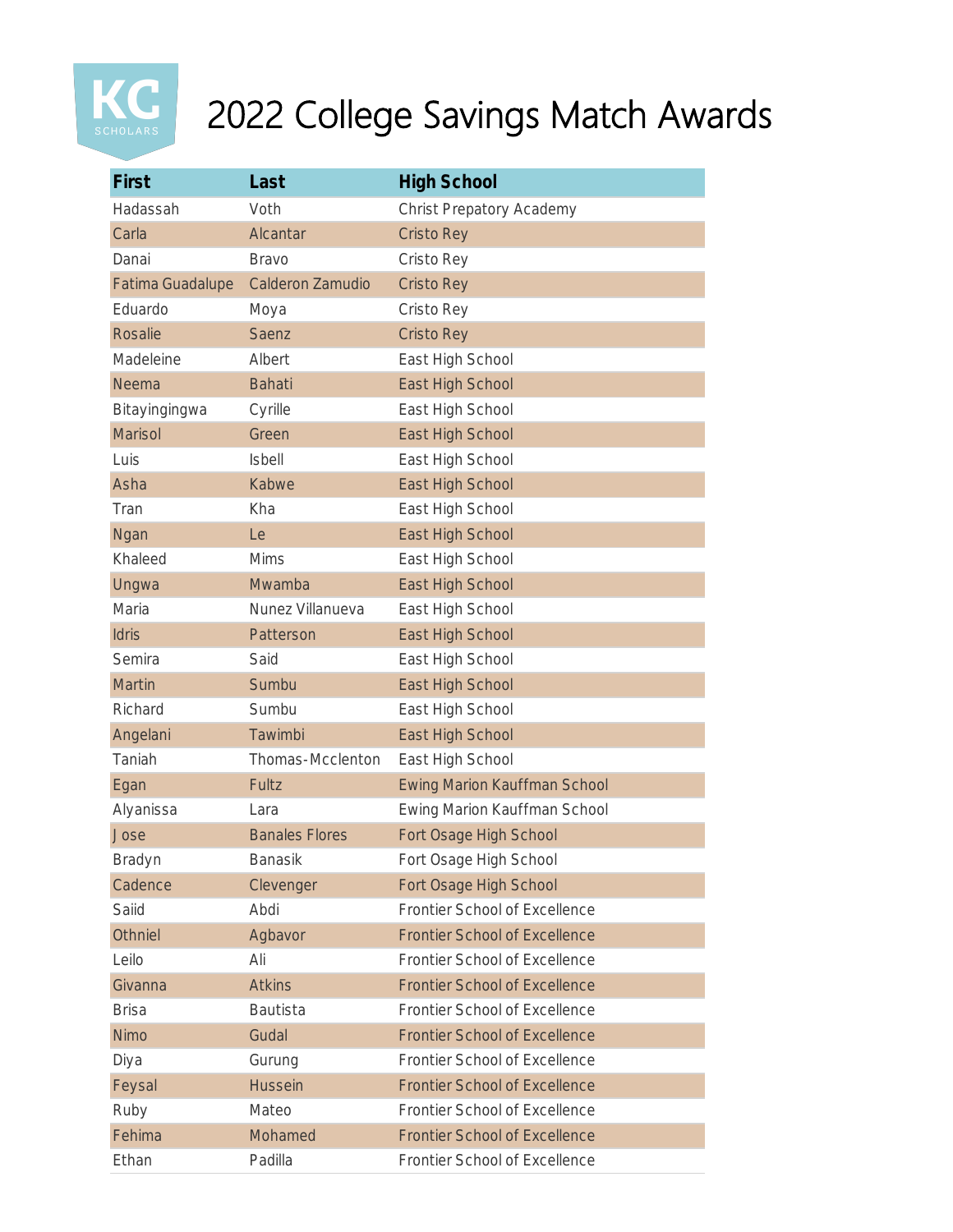

| First                   | Last                  | <b>High School</b>                   |
|-------------------------|-----------------------|--------------------------------------|
| Hadassah                | Voth                  | Christ Prepatory Academy             |
| Carla                   | Alcantar              | <b>Cristo Rey</b>                    |
| Danai                   | <b>Bravo</b>          | Cristo Rey                           |
| <b>Fatima Guadalupe</b> | Calderon Zamudio      | <b>Cristo Rey</b>                    |
| Eduardo                 | Moya                  | Cristo Rey                           |
| <b>Rosalie</b>          | Saenz                 | <b>Cristo Rey</b>                    |
| Madeleine               | Albert                | East High School                     |
| Neema                   | <b>Bahati</b>         | East High School                     |
| Bitayingingwa           | Cyrille               | East High School                     |
| <b>Marisol</b>          | Green                 | East High School                     |
| Luis                    | <b>Isbell</b>         | East High School                     |
| Asha                    | Kabwe                 | East High School                     |
| Tran                    | Kha                   | East High School                     |
| Ngan                    | Le                    | East High School                     |
| Khaleed                 | <b>Mims</b>           | East High School                     |
| Ungwa                   | Mwamba                | East High School                     |
| Maria                   | Nunez Villanueva      | East High School                     |
| Idris                   | Patterson             | East High School                     |
| Semira                  | Said                  | East High School                     |
| Martin                  | Sumbu                 | East High School                     |
| Richard                 | Sumbu                 | East High School                     |
| Angelani                | Tawimbi               | East High School                     |
| Taniah                  | Thomas-Mcclenton      | East High School                     |
| Egan                    | Fultz                 | <b>Ewing Marion Kauffman School</b>  |
| Alyanissa               | Lara                  | Ewing Marion Kauffman School         |
| Jose                    | <b>Banales Flores</b> | Fort Osage High School               |
| Bradyn                  | Banasik               | Fort Osage High School               |
| Cadence                 | Clevenger             | Fort Osage High School               |
| Saiid                   | Abdi                  | Frontier School of Excellence        |
| Othniel                 | Agbavor               | <b>Frontier School of Excellence</b> |
| Leilo                   | Ali                   | Frontier School of Excellence        |
| Givanna                 | <b>Atkins</b>         | <b>Frontier School of Excellence</b> |
| <b>Brisa</b>            | Bautista              | Frontier School of Excellence        |
| <b>Nimo</b>             | Gudal                 | <b>Frontier School of Excellence</b> |
| Diya                    | Gurung                | Frontier School of Excellence        |
| Feysal                  | <b>Hussein</b>        | <b>Frontier School of Excellence</b> |
| Ruby                    | Mateo                 | Frontier School of Excellence        |
| Fehima                  | Mohamed               | <b>Frontier School of Excellence</b> |
| Ethan                   | Padilla               | Frontier School of Excellence        |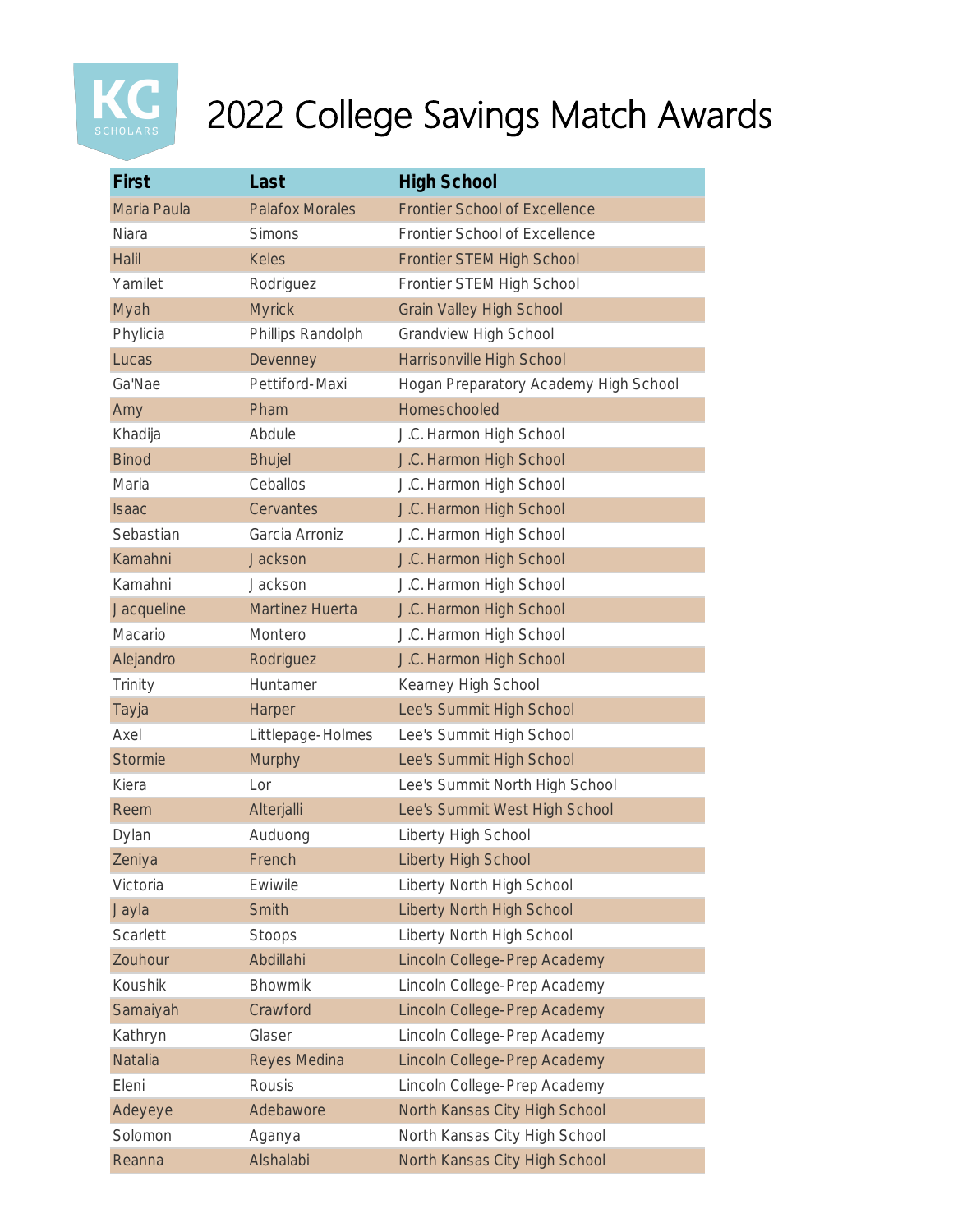

| First          | Last                   | <b>High School</b>                    |
|----------------|------------------------|---------------------------------------|
| Maria Paula    | <b>Palafox Morales</b> | <b>Frontier School of Excellence</b>  |
| <b>Niara</b>   | <b>Simons</b>          | Frontier School of Excellence         |
| <b>Halil</b>   | <b>Keles</b>           | <b>Frontier STEM High School</b>      |
| Yamilet        | Rodriguez              | Frontier STEM High School             |
| Myah           | <b>Myrick</b>          | <b>Grain Valley High School</b>       |
| Phylicia       | Phillips Randolph      | <b>Grandview High School</b>          |
| Lucas          | Devenney               | Harrisonville High School             |
| Ga'Nae         | Pettiford-Maxi         | Hogan Preparatory Academy High School |
| Amy            | Pham                   | Homeschooled                          |
| Khadija        | Abdule                 | J.C. Harmon High School               |
| <b>Binod</b>   | <b>Bhujel</b>          | J.C. Harmon High School               |
| Maria          | Ceballos               | J.C. Harmon High School               |
| <b>Isaac</b>   | Cervantes              | J.C. Harmon High School               |
| Sebastian      | Garcia Arroniz         | J.C. Harmon High School               |
| Kamahni        | Jackson                | J.C. Harmon High School               |
| Kamahni        | Jackson                | J.C. Harmon High School               |
| Jacqueline     | <b>Martinez Huerta</b> | J.C. Harmon High School               |
| Macario        | Montero                | J.C. Harmon High School               |
| Alejandro      | Rodriguez              | J.C. Harmon High School               |
| Trinity        | Huntamer               | Kearney High School                   |
| Tayja          | Harper                 | Lee's Summit High School              |
| Axel           | Littlepage-Holmes      | Lee's Summit High School              |
| <b>Stormie</b> | Murphy                 | Lee's Summit High School              |
| Kiera          | Lor                    | Lee's Summit North High School        |
| Reem           | Alterjalli             | Lee's Summit West High School         |
| Dylan          | Auduong                | Liberty High School                   |
| Zeniya         | French                 | <b>Liberty High School</b>            |
| Victoria       | Ewiwile                | Liberty North High School             |
| Jayla          | Smith                  | <b>Liberty North High School</b>      |
| Scarlett       | Stoops                 | Liberty North High School             |
| Zouhour        | Abdillahi              | Lincoln College-Prep Academy          |
| Koushik        | <b>Bhowmik</b>         | Lincoln College-Prep Academy          |
| Samaiyah       | Crawford               | Lincoln College-Prep Academy          |
| Kathryn        | Glaser                 | Lincoln College-Prep Academy          |
| <b>Natalia</b> | Reyes Medina           | Lincoln College-Prep Academy          |
| Eleni          | Rousis                 | Lincoln College-Prep Academy          |
| Adeyeye        | Adebawore              | North Kansas City High School         |
| Solomon        | Aganya                 | North Kansas City High School         |
| Reanna         | Alshalabi              | North Kansas City High School         |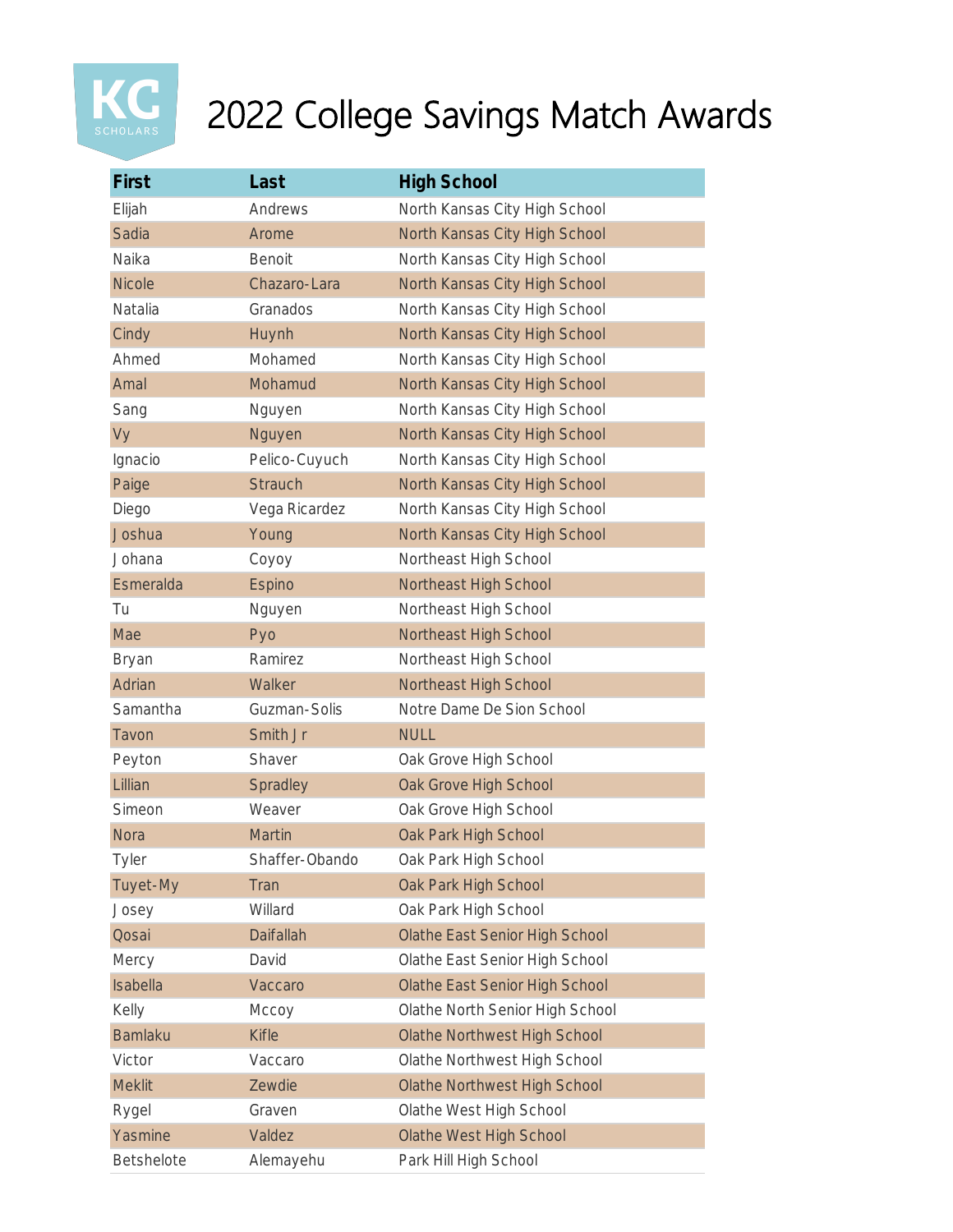

| First          | Last             | <b>High School</b>                    |
|----------------|------------------|---------------------------------------|
| Elijah         | Andrews          | North Kansas City High School         |
| Sadia          | Arome            | North Kansas City High School         |
| Naika          | <b>Benoit</b>    | North Kansas City High School         |
| <b>Nicole</b>  | Chazaro-Lara     | North Kansas City High School         |
| Natalia        | Granados         | North Kansas City High School         |
| Cindy          | Huynh            | North Kansas City High School         |
| Ahmed          | Mohamed          | North Kansas City High School         |
| Amal           | Mohamud          | North Kansas City High School         |
| Sang           | Nguyen           | North Kansas City High School         |
| Vy             | Nguyen           | North Kansas City High School         |
| Ignacio        | Pelico-Cuyuch    | North Kansas City High School         |
| Paige          | <b>Strauch</b>   | North Kansas City High School         |
| Diego          | Vega Ricardez    | North Kansas City High School         |
| Joshua         | Young            | North Kansas City High School         |
| Johana         | Coyoy            | Northeast High School                 |
| Esmeralda      | Espino           | Northeast High School                 |
| Tu             | Nguyen           | Northeast High School                 |
| Mae            | Pyo              | Northeast High School                 |
| <b>Bryan</b>   | Ramirez          | Northeast High School                 |
| Adrian         | Walker           | Northeast High School                 |
| Samantha       | Guzman-Solis     | Notre Dame De Sion School             |
| Tavon          | Smith Jr         | <b>NULL</b>                           |
| Peyton         | Shaver           | Oak Grove High School                 |
| Lillian        | Spradley         | Oak Grove High School                 |
| Simeon         | Weaver           | Oak Grove High School                 |
| <b>Nora</b>    | <b>Martin</b>    | Oak Park High School                  |
| <b>Tyler</b>   | Shaffer-Obando   | Oak Park High School                  |
| Tuyet-My       | Tran             | Oak Park High School                  |
| Josey          | Willard          | Oak Park High School                  |
| Qosai          | <b>Daifallah</b> | Olathe East Senior High School        |
| Mercy          | David            | Olathe East Senior High School        |
| Isabella       | Vaccaro          | <b>Olathe East Senior High School</b> |
| Kelly          | Мссоу            | Olathe North Senior High School       |
| <b>Bamlaku</b> | <b>Kifle</b>     | <b>Olathe Northwest High School</b>   |
| Victor         | Vaccaro          | Olathe Northwest High School          |
| <b>Meklit</b>  | Zewdie           | <b>Olathe Northwest High School</b>   |
| Rygel          | Graven           | Olathe West High School               |
| Yasmine        | Valdez           | <b>Olathe West High School</b>        |
| Betshelote     | Alemayehu        | Park Hill High School                 |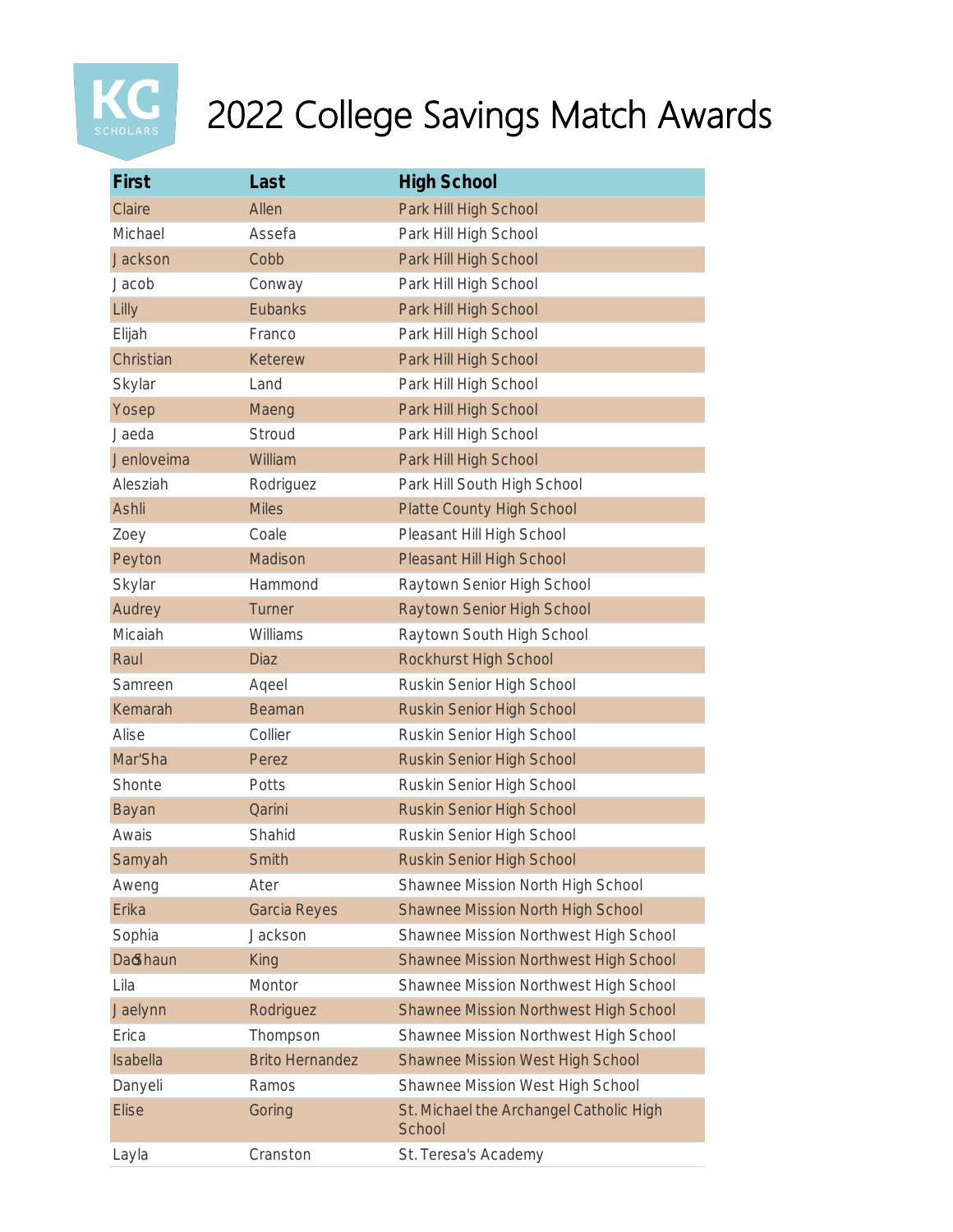

| First        | Last                   | <b>High School</b>                                |
|--------------|------------------------|---------------------------------------------------|
| Claire       | Allen                  | Park Hill High School                             |
| Michael      | Assefa                 | Park Hill High School                             |
| Jackson      | Cobb                   | Park Hill High School                             |
| Jacob        | Conway                 | Park Hill High School                             |
| Lilly        | <b>Eubanks</b>         | Park Hill High School                             |
| Elijah       | Franco                 | Park Hill High School                             |
| Christian    | Keterew                | Park Hill High School                             |
| Skylar       | Land                   | Park Hill High School                             |
| Yosep        | Maeng                  | Park Hill High School                             |
| Jaeda        | Stroud                 | Park Hill High School                             |
| Jenloveima   | William                | Park Hill High School                             |
| Alesziah     | Rodriguez              | Park Hill South High School                       |
| Ashli        | <b>Miles</b>           | <b>Platte County High School</b>                  |
| Zoey         | Coale                  | Pleasant Hill High School                         |
| Peyton       | Madison                | Pleasant Hill High School                         |
| Skylar       | Hammond                | Raytown Senior High School                        |
| Audrey       | Turner                 | Raytown Senior High School                        |
| Micaiah      | Williams               | Raytown South High School                         |
| Raul         | <b>Diaz</b>            | Rockhurst High School                             |
| Samreen      | Aqeel                  | Ruskin Senior High School                         |
| Kemarah      | Beaman                 | Ruskin Senior High School                         |
| Alise        | Collier                | Ruskin Senior High School                         |
| Mar'Sha      | Perez                  | Ruskin Senior High School                         |
| Shonte       | Potts                  | Ruskin Senior High School                         |
| Bayan        | Qarini                 | Ruskin Senior High School                         |
| Awais        | Shahid                 | Ruskin Senior High School                         |
| Samyah       | Smith                  | <b>Ruskin Senior High School</b>                  |
| Aweng        | Ater                   | Shawnee Mission North High School                 |
| Erika        | <b>Garcia Reyes</b>    | Shawnee Mission North High School                 |
| Sophia       | Jackson                | Shawnee Mission Northwest High School             |
| Da Shaun     | King                   | Shawnee Mission Northwest High School             |
| Lila         | Montor                 | Shawnee Mission Northwest High School             |
| Jaelynn      | Rodriguez              | Shawnee Mission Northwest High School             |
| Erica        | Thompson               | Shawnee Mission Northwest High School             |
| Isabella     | <b>Brito Hernandez</b> | <b>Shawnee Mission West High School</b>           |
| Danyeli      | Ramos                  | Shawnee Mission West High School                  |
| <b>Elise</b> | Goring                 | St. Michael the Archangel Catholic High<br>School |
| Layla        | Cranston               | St. Teresa's Academy                              |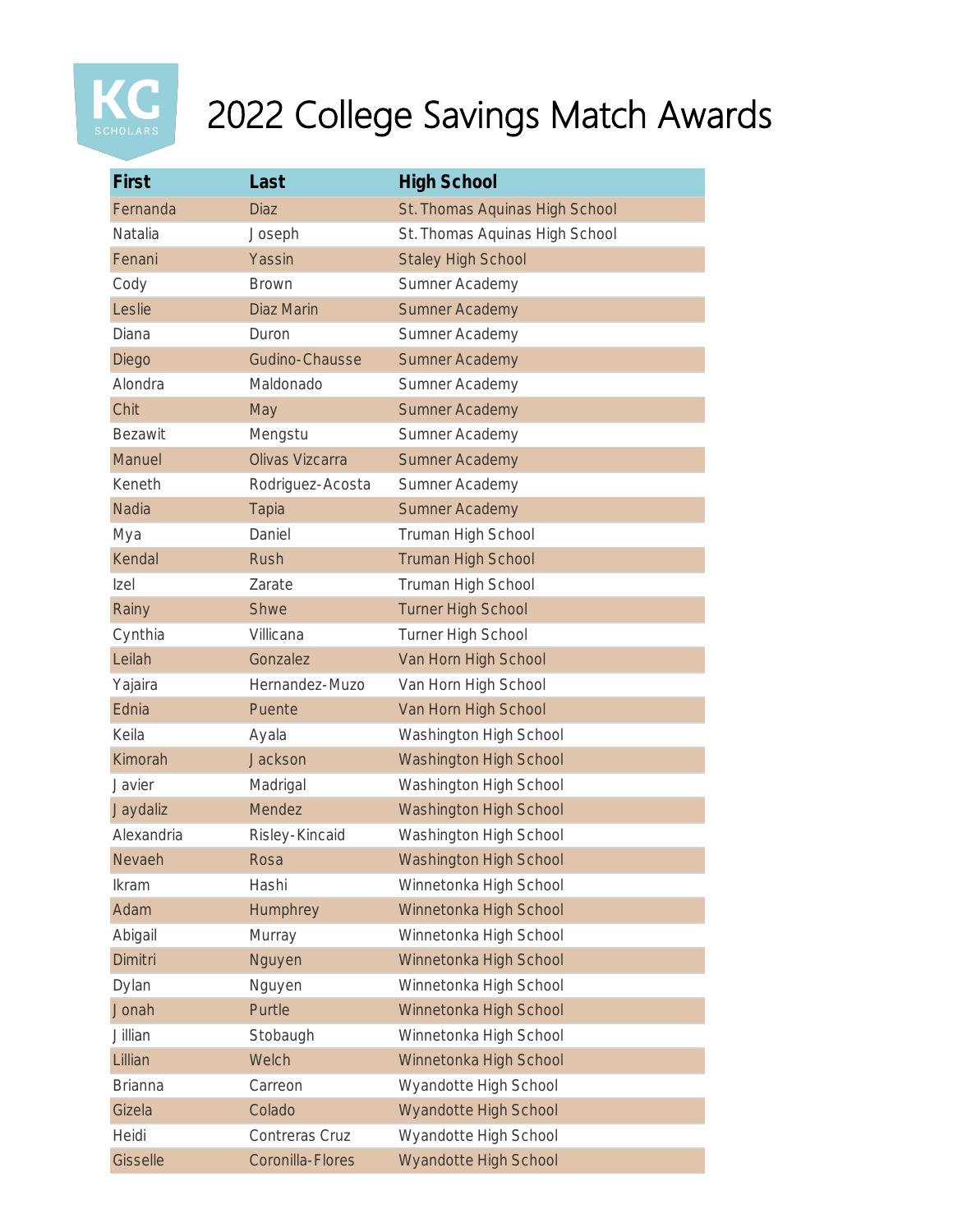

| First          | Last             | <b>High School</b>             |
|----------------|------------------|--------------------------------|
| Fernanda       | <b>Diaz</b>      | St. Thomas Aquinas High School |
| Natalia        | Joseph           | St. Thomas Aquinas High School |
| Fenani         | Yassin           | <b>Staley High School</b>      |
| Cody           | <b>Brown</b>     | Sumner Academy                 |
| Leslie         | Diaz Marin       | <b>Sumner Academy</b>          |
| Diana          | Duron            | Sumner Academy                 |
| Diego          | Gudino-Chausse   | <b>Sumner Academy</b>          |
| Alondra        | Maldonado        | Sumner Academy                 |
| Chit           | May              | <b>Sumner Academy</b>          |
| <b>Bezawit</b> | Mengstu          | Sumner Academy                 |
| Manuel         | Olivas Vizcarra  | <b>Sumner Academy</b>          |
| Keneth         | Rodriguez-Acosta | Sumner Academy                 |
| Nadia          | <b>Tapia</b>     | <b>Sumner Academy</b>          |
| Mya            | Daniel           | Truman High School             |
| Kendal         | <b>Rush</b>      | <b>Truman High School</b>      |
| Izel           | Zarate           | Truman High School             |
| Rainy          | Shwe             | <b>Turner High School</b>      |
| Cynthia        | Villicana        | Turner High School             |
| Leilah         | Gonzalez         | Van Horn High School           |
| Yajaira        | Hernandez-Muzo   | Van Horn High School           |
| Ednia          | Puente           | Van Horn High School           |
| Keila          | Ayala            | Washington High School         |
| Kimorah        | Jackson          | <b>Washington High School</b>  |
| Javier         | Madrigal         | Washington High School         |
| Jaydaliz       | Mendez           | Washington High School         |
| Alexandria     | Risley-Kincaid   | Washington High School         |
| Nevaeh         | Rosa             | <b>Washington High School</b>  |
| <b>Ikram</b>   | Hashi            | Winnetonka High School         |
| Adam           | Humphrey         | Winnetonka High School         |
| Abigail        | Murray           | Winnetonka High School         |
| Dimitri        | Nguyen           | Winnetonka High School         |
| Dylan          | Nguyen           | Winnetonka High School         |
| Jonah          | Purtle           | Winnetonka High School         |
| Jillian        | Stobaugh         | Winnetonka High School         |
| Lillian        | Welch            | Winnetonka High School         |
| <b>Brianna</b> | Carreon          | Wyandotte High School          |
| Gizela         | Colado           | Wyandotte High School          |
| Heidi          | Contreras Cruz   | Wyandotte High School          |
| Gisselle       | Coronilla-Flores | Wyandotte High School          |